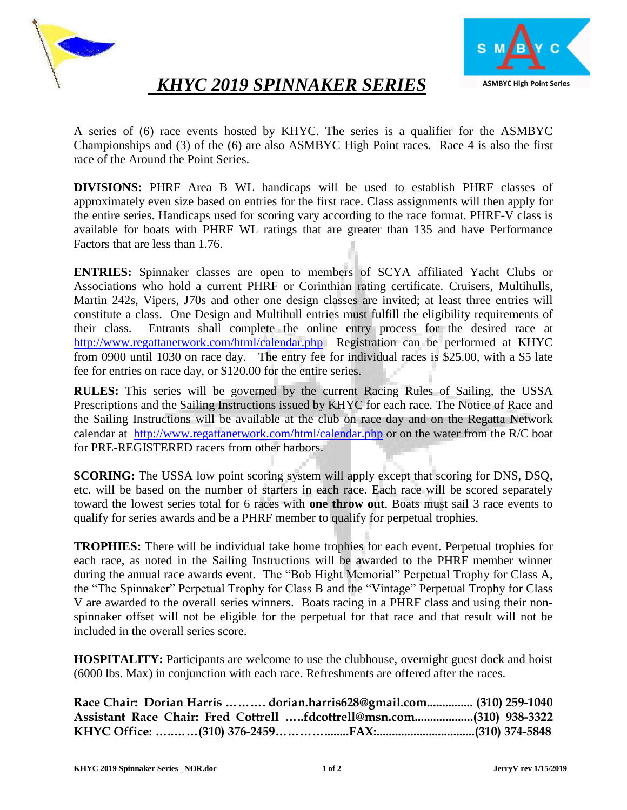

 *KHYC 2019 SPINNAKER SERIES*



A series of (6) race events hosted by KHYC. The series is a qualifier for the ASMBYC Championships and (3) of the (6) are also ASMBYC High Point races. Race 4 is also the first race of the Around the Point Series.

**DIVISIONS:** PHRF Area B WL handicaps will be used to establish PHRF classes of approximately even size based on entries for the first race. Class assignments will then apply for the entire series. Handicaps used for scoring vary according to the race format. PHRF-V class is available for boats with PHRF WL ratings that are greater than 135 and have Performance Factors that are less than 1.76.

**ENTRIES:** Spinnaker classes are open to members of SCYA affiliated Yacht Clubs or Associations who hold a current PHRF or Corinthian rating certificate. Cruisers, Multihulls, Martin 242s, Vipers, J70s and other one design classes are invited; at least three entries will constitute a class. One Design and Multihull entries must fulfill the eligibility requirements of their class. Entrants shall complete the online entry process for the desired race at <http://www.regattanetwork.com/html/calendar.php> Registration can be performed at KHYC from 0900 until 1030 on race day. The entry fee for individual races is \$25.00, with a \$5 late fee for entries on race day, or \$120.00 for the entire series.

**RULES:** This series will be governed by the current Racing Rules of Sailing, the USSA Prescriptions and the Sailing Instructions issued by KHYC for each race. The Notice of Race and the Sailing Instructions will be available at the club on race day and on the Regatta Network calendar at <http://www.regattanetwork.com/html/calendar.php> or on the water from the R/C boat for PRE-REGISTERED racers from other harbors.

**SCORING:** The USSA low point scoring system will apply except that scoring for DNS, DSQ, etc. will be based on the number of starters in each race. Each race will be scored separately toward the lowest series total for 6 races with **one throw out**. Boats must sail 3 race events to qualify for series awards and be a PHRF member to qualify for perpetual trophies.

**TROPHIES:** There will be individual take home trophies for each event. Perpetual trophies for each race, as noted in the Sailing Instructions will be awarded to the PHRF member winner during the annual race awards event. The "Bob Hight Memorial" Perpetual Trophy for Class A, the "The Spinnaker" Perpetual Trophy for Class B and the "Vintage" Perpetual Trophy for Class V are awarded to the overall series winners. Boats racing in a PHRF class and using their nonspinnaker offset will not be eligible for the perpetual for that race and that result will not be included in the overall series score.

**HOSPITALITY:** Participants are welcome to use the clubhouse, overnight guest dock and hoist (6000 lbs. Max) in conjunction with each race. Refreshments are offered after the races.

|  | Race Chair: Dorian Harris    dorian.harris628@gmail.com (310) 259-1040 |  |
|--|------------------------------------------------------------------------|--|
|  | Assistant Race Chair: Fred Cottrell fdcottrell@msn.com(310) 938-3322   |  |
|  |                                                                        |  |